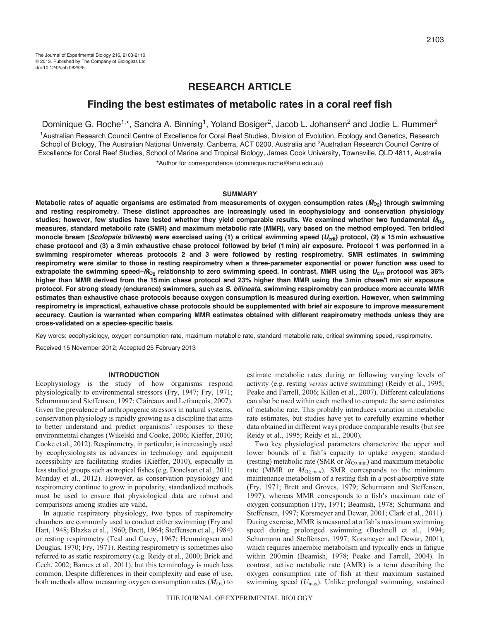# **RESEARCH ARTICLE**

## **Finding the best estimates of metabolic rates in a coral reef fish**

Dominique G. Roche<sup>1,\*</sup>, Sandra A. Binning<sup>1</sup>, Yoland Bosiger<sup>2</sup>, Jacob L. Johansen<sup>2</sup> and Jodie L. Rummer<sup>2</sup>

1Australian Research Council Centre of Excellence for Coral Reef Studies, Division of Evolution, Ecology and Genetics, Research School of Biology, The Australian National University, Canberra, ACT 0200, Australia and <sup>2</sup>Australian Research Council Centre of Excellence for Coral Reef Studies, School of Marine and Tropical Biology, James Cook University, Townsville, QLD 4811, Australia **\***Author for correspondence (dominique.roche@anu.edu.au)

### **SUMMARY**

Metabolic rates of aquatic organisms are estimated from measurements of oxygen consumption rates ( $M_{Q2}$ ) through swimming **and resting respirometry. These distinct approaches are increasingly used in ecophysiology and conservation physiology** studies; however, few studies have tested whether they yield comparable results. We examined whether two fundamental  $M_{O_2}$ **measures, standard metabolic rate (SMR) and maximum metabolic rate (MMR), vary based on the method employed. Ten bridled monocle bream (***Scolopsis bilineata***) were exercised using (1) a critical swimming speed (***U***crit) protocol, (2) a 15min exhaustive chase protocol and (3) a 3min exhaustive chase protocol followed by brief (1min) air exposure. Protocol 1 was performed in a swimming respirometer whereas protocols 2 and 3 were followed by resting respirometry. SMR estimates in swimming respirometry were similar to those in resting respirometry when a three-parameter exponential or power function was used to extrapolate the swimming speed–***Ṁ***O2 relationship to zero swimming speed. In contrast, MMR using the** *U***crit protocol was 36% higher than MMR derived from the 15min chase protocol and 23% higher than MMR using the 3min chase/1min air exposure protocol. For strong steady (endurance) swimmers, such as** *S. bilineata***, swimming respirometry can produce more accurate MMR estimates than exhaustive chase protocols because oxygen consumption is measured during exertion. However, when swimming respirometry is impractical, exhaustive chase protocols should be supplemented with brief air exposure to improve measurement accuracy. Caution is warranted when comparing MMR estimates obtained with different respirometry methods unless they are cross-validated on a species-specific basis.**

Key words: ecophysiology, oxygen consumption rate, maximum metabolic rate, standard metabolic rate, critical swimming speed, respirometry.

Received 15 November 2012; Accepted 25 February 2013

## **INTRODUCTION**

Ecophysiology is the study of how organisms respond physiologically to environmental stressors (Fry, 1947; Fry, 1971; Schurmann and Steffensen, 1997; Claireaux and Lefrançois, 2007). Given the prevalence of anthropogenic stressors in natural systems, conservation physiology is rapidly growing as a discipline that aims to better understand and predict organisms' responses to these environmental changes (Wikelski and Cooke, 2006; Kieffer, 2010; Cooke et al., 2012). Respirometry, in particular, is increasingly used by ecophysiologists as advances in technology and equipment accessibility are facilitating studies (Kieffer, 2010), especially in less studied groups such as tropical fishes (e.g. Donelson et al., 2011; Munday et al., 2012). However, as conservation physiology and respirometry continue to grow in popularity, standardized methods must be used to ensure that physiological data are robust and comparisons among studies are valid.

In aquatic respiratory physiology, two types of respirometry chambers are commonly used to conduct either swimming (Fry and Hart, 1948; Blazka et al., 1960; Brett, 1964; Steffensen et al., 1984) or resting respirometry (Teal and Carey, 1967; Hemmingsen and Douglas, 1970; Fry, 1971). Resting respirometry is sometimes also referred to as static respirometry (e.g. Reidy et al., 2000; Brick and Cech, 2002; Barnes et al., 2011), but this terminology is much less common. Despite differences in their complexity and ease of use, both methods allow measuring oxygen consumption rates  $(M<sub>O2</sub>)$  to estimate metabolic rates during or following varying levels of activity (e.g. resting *versus* active swimming) (Reidy et al., 1995; Peake and Farrell, 2006; Killen et al., 2007). Different calculations can also be used within each method to compute the same estimates of metabolic rate. This probably introduces variation in metabolic rate estimates, but studies have yet to carefully examine whether data obtained in different ways produce comparable results (but see Reidy et al., 1995; Reidy et al., 2000).

Two key physiological parameters characterize the upper and lower bounds of a fish's capacity to uptake oxygen: standard (resting) metabolic rate (SMR or  $\dot{M}_{\text{O}_2,\text{min}}$ ) and maximum metabolic rate (MMR or  $\dot{M}_{\text{O2,max}}$ ). SMR corresponds to the minimum maintenance metabolism of a resting fish in a post-absorptive state (Fry, 1971; Brett and Groves, 1979; Schurmann and Steffensen, 1997), whereas MMR corresponds to a fish's maximum rate of oxygen consumption (Fry, 1971; Beamish, 1978; Schurmann and Steffensen, 1997; Korsmeyer and Dewar, 2001; Clark et al., 2011). During exercise, MMR is measured at a fish's maximum swimming speed during prolonged swimming (Bushnell et al., 1994; Schurmann and Steffensen, 1997; Korsmeyer and Dewar, 2001), which requires anaerobic metabolism and typically ends in fatigue within 200min (Beamish, 1978; Peake and Farrell, 2004). In contrast, active metabolic rate (AMR) is a term describing the oxygen consumption rate of fish at their maximum sustained swimming speed (*U*max). Unlike prolonged swimming, sustained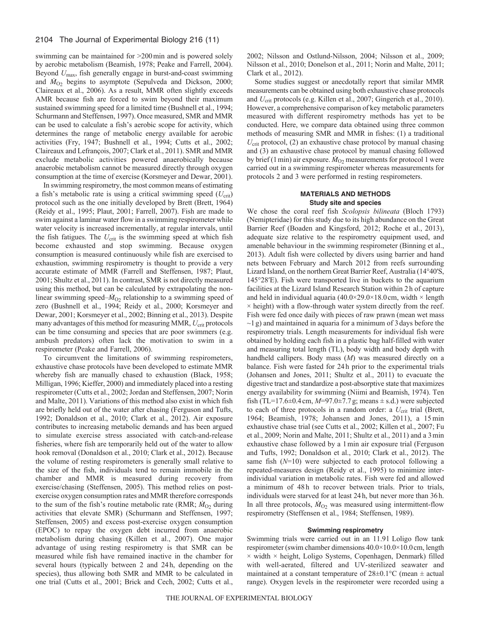swimming can be maintained for  $>200$  min and is powered solely by aerobic metabolism (Beamish, 1978; Peake and Farrell, 2004). Beyond *U*max, fish generally engage in burst-and-coast swimming and  $\dot{M}_{O2}$  begins to asymptote (Sepulveda and Dickson, 2000; Claireaux et al., 2006). As a result, MMR often slightly exceeds AMR because fish are forced to swim beyond their maximum sustained swimming speed for a limited time (Bushnell et al., 1994; Schurmann and Steffensen, 1997). Once measured, SMR and MMR can be used to calculate a fish's aerobic scope for activity, which determines the range of metabolic energy available for aerobic activities (Fry, 1947; Bushnell et al., 1994; Cutts et al., 2002; Claireaux and Lefrançois, 2007; Clark et al., 2011). SMR and MMR exclude metabolic activities powered anaerobically because anaerobic metabolism cannot be measured directly through oxygen consumption at the time of exercise (Korsmeyer and Dewar, 2001).

In swimming respirometry, the most common means of estimating a fish's metabolic rate is using a critical swimming speed  $(U_{\text{crit}})$ protocol such as the one initially developed by Brett (Brett, 1964) (Reidy et al., 1995; Plaut, 2001; Farrell, 2007). Fish are made to swim against a laminar water flow in a swimming respirometer while water velocity is increased incrementally, at regular intervals, until the fish fatigues. The *U*<sub>crit</sub> is the swimming speed at which fish become exhausted and stop swimming. Because oxygen consumption is measured continuously while fish are exercised to exhaustion, swimming respirometry is thought to provide a very accurate estimate of MMR (Farrell and Steffensen, 1987; Plaut, 2001; Shultz et al., 2011). In contrast, SMR is not directly measured using this method, but can be calculated by extrapolating the nonlinear swimming speed– $\dot{M}_{\text{O}2}$  relationship to a swimming speed of zero (Bushnell et al., 1994; Reidy et al., 2000; Korsmeyer and Dewar, 2001; Korsmeyer et al., 2002; Binning et al., 2013). Despite many advantages of this method for measuring MMR,  $U_{\text{crit}}$  protocols can be time consuming and species that are poor swimmers (e.g. ambush predators) often lack the motivation to swim in a respirometer (Peake and Farrell, 2006).

To circumvent the limitations of swimming respirometers, exhaustive chase protocols have been developed to estimate MMR whereby fish are manually chased to exhaustion (Black, 1958; Milligan, 1996; Kieffer, 2000) and immediately placed into a resting respirometer (Cutts et al., 2002; Jordan and Steffensen, 2007; Norin and Malte, 2011). Variations of this method also exist in which fish are briefly held out of the water after chasing (Ferguson and Tufts, 1992; Donaldson et al., 2010; Clark et al., 2012). Air exposure contributes to increasing metabolic demands and has been argued to simulate exercise stress associated with catch-and-release fisheries, where fish are temporarily held out of the water to allow hook removal (Donaldson et al., 2010; Clark et al., 2012). Because the volume of resting respirometers is generally small relative to the size of the fish, individuals tend to remain immobile in the chamber and MMR is measured during recovery from exercise/chasing (Steffensen, 2005). This method relies on postexercise oxygen consumption rates and MMR therefore corresponds to the sum of the fish's routine metabolic rate (RMR;  $\dot{M}_{\text{O}2}$  during activities that elevate SMR) (Schurmann and Steffensen, 1997; Steffensen, 2005) and excess post-exercise oxygen consumption (EPOC) to repay the oxygen debt incurred from anaerobic metabolism during chasing (Killen et al., 2007). One major advantage of using resting respirometry is that SMR can be measured while fish have remained inactive in the chamber for several hours (typically between 2 and 24h, depending on the species), thus allowing both SMR and MMR to be calculated in one trial (Cutts et al., 2001; Brick and Cech, 2002; Cutts et al., 2002; Nilsson and Ostlund-Nilsson, 2004; Nilsson et al., 2009; Nilsson et al., 2010; Donelson et al., 2011; Norin and Malte, 2011; Clark et al., 2012).

Some studies suggest or anecdotally report that similar MMR measurements can be obtained using both exhaustive chase protocols and *U*crit protocols (e.g. Killen et al., 2007; Gingerich et al., 2010). However, a comprehensive comparison of key metabolic parameters measured with different respirometry methods has yet to be conducted. Here, we compare data obtained using three common methods of measuring SMR and MMR in fishes: (1) a traditional  $U_{\text{crit}}$  protocol, (2) an exhaustive chase protocol by manual chasing and (3) an exhaustive chase protocol by manual chasing followed by brief (1 min) air exposure.  $\dot{M}_{O2}$  measurements for protocol 1 were carried out in a swimming respirometer whereas measurements for protocols 2 and 3 were performed in resting respirometers.

### **MATERIALS AND METHODS Study site and species**

We chose the coral reef fish *Scolopsis bilineata* (Bloch 1793) (Nemipteridae) for this study due to its high abundance on the Great Barrier Reef (Boaden and Kingsford, 2012; Roche et al., 2013), adequate size relative to the respirometry equipment used, and amenable behaviour in the swimming respirometer (Binning et al., 2013). Adult fish were collected by divers using barrier and hand nets between February and March 2012 from reefs surrounding Lizard Island, on the northern Great Barrier Reef, Australia (14°40′S, 145°28′E). Fish were transported live in buckets to the aquarium facilities at the Lizard Island Research Station within 2h of capture and held in individual aquaria  $(40.0 \times 29.0 \times 18.0 \text{ cm}, \text{width} \times \text{length}$  $\times$  height) with a flow-through water system directly from the reef. Fish were fed once daily with pieces of raw prawn (mean wet mass  $\sim$ 1 g) and maintained in aquaria for a minimum of 3 days before the respirometry trials. Length measurements for individual fish were obtained by holding each fish in a plastic bag half-filled with water and measuring total length (TL), body width and body depth with handheld callipers. Body mass (*M*) was measured directly on a balance. Fish were fasted for 24h prior to the experimental trials (Johansen and Jones, 2011; Shultz et al., 2011) to evacuate the digestive tract and standardize a post-absorptive state that maximizes energy availability for swimming (Niimi and Beamish, 1974). Ten fish (TL=17.6 $\pm$ 0.4 cm,  $M=97.0\pm7.7$  g; means  $\pm$  s.d.) were subjected to each of three protocols in a random order: a  $U_{\text{crit}}$  trial (Brett, 1964; Beamish, 1978; Johansen and Jones, 2011), a 15min exhaustive chase trial (see Cutts et al., 2002; Killen et al., 2007; Fu et al., 2009; Norin and Malte, 2011; Shultz et al., 2011) and a 3min exhaustive chase followed by a 1min air exposure trial (Ferguson and Tufts, 1992; Donaldson et al., 2010; Clark et al., 2012). The same fish (*N*=10) were subjected to each protocol following a repeated-measures design (Reidy et al., 1995) to minimize interindividual variation in metabolic rates. Fish were fed and allowed a minimum of 48h to recover between trials. Prior to trials, individuals were starved for at least 24h, but never more than 36h. In all three protocols,  $\dot{M}_{O2}$  was measured using intermittent-flow respirometry (Steffensen et al., 1984; Steffensen, 1989).

### **Swimming respirometry**

Swimming trials were carried out in an 11.9l Loligo flow tank respirometer (swim chamber dimensions 40.0×10.0×10.0cm, length  $\times$  width  $\times$  height, Loligo Systems, Copenhagen, Denmark) filled with well-aerated, filtered and UV-sterilized seawater and maintained at a constant temperature of  $28\pm0.1^{\circ}$ C (mean  $\pm$  actual range). Oxygen levels in the respirometer were recorded using a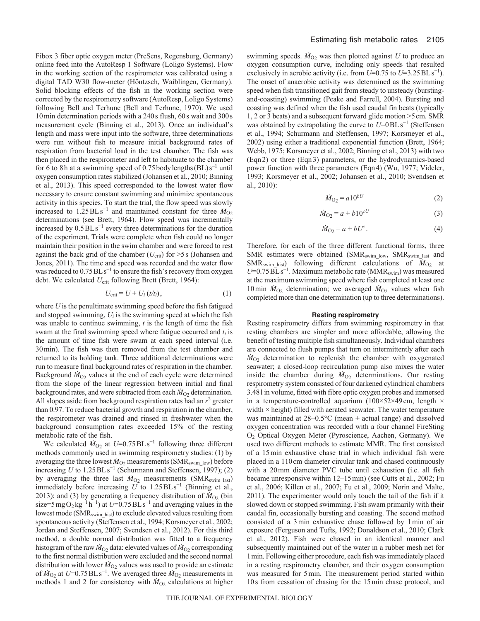Fibox 3 fiber optic oxygen meter (PreSens, Regensburg, Germany) online feed into the AutoResp 1 Software (Loligo Systems). Flow in the working section of the respirometer was calibrated using a digital TAD W30 flow-meter (Höntzsch, Waiblingen, Germany). Solid blocking effects of the fish in the working section were corrected by the respirometry software (AutoResp, Loligo Systems) following Bell and Terhune (Bell and Terhune, 1970). We used 10min determination periods with a 240s flush, 60s wait and 300s measurement cycle (Binning et al., 2013). Once an individual's length and mass were input into the software, three determinations were run without fish to measure initial background rates of respiration from bacterial load in the test chamber. The fish was then placed in the respirometer and left to habituate to the chamber for 6 to 8h at a swimming speed of 0.75 body lengths  $(BL)$ s<sup>-1</sup> until oxygen consumption rates stabilized (Johansen et al., 2010; Binning et al., 2013). This speed corresponded to the lowest water flow necessary to ensure constant swimming and minimize spontaneous activity in this species. To start the trial, the flow speed was slowly increased to 1.25BLs<sup>-1</sup> and maintained constant for three  $\dot{M}_{O2}$ determinations (see Brett, 1964). Flow speed was incrementally increased by 0.5BLs<sup>−</sup><sup>1</sup> every three determinations for the duration of the experiment. Trials were complete when fish could no longer maintain their position in the swim chamber and were forced to rest against the back grid of the chamber  $(U_{\text{crit}})$  for  $>5$  s (Johansen and Jones, 2011). The time and speed was recorded and the water flow was reduced to  $0.75 B L s^{-1}$  to ensure the fish's recovery from oxygen debt. We calculated *U*<sub>crit</sub> following Brett (Brett, 1964):

$$
U_{\rm crit} = U + U_i \left( t/t_i \right), \tag{1}
$$

where *U* is the penultimate swimming speed before the fish fatigued and stopped swimming, *Ui* is the swimming speed at which the fish was unable to continue swimming, *t* is the length of time the fish swam at the final swimming speed where fatigue occurred and *ti* is the amount of time fish were swam at each speed interval (i.e. 30min). The fish was then removed from the test chamber and returned to its holding tank. Three additional determinations were run to measure final background rates of respiration in the chamber. Background  $\dot{M}_{O2}$  values at the end of each cycle were determined from the slope of the linear regression between initial and final background rates, and were subtracted from each  $\dot{M}_{O2}$  determination. All slopes aside from background respiration rates had an  $r^2$  greater than 0.97. To reduce bacterial growth and respiration in the chamber, the respirometer was drained and rinsed in freshwater when the background consumption rates exceeded 15% of the resting metabolic rate of the fish.

We calculated  $\dot{M}_{O_2}$  at  $U=0.75$  BLs<sup>-1</sup> following three different methods commonly used in swimming respirometry studies: (1) by averaging the three lowest  $\dot{M}_{O_2}$  measurements (SMR<sub>swim low</sub>) before increasing  $U$  to  $1.25$  BL s<sup>-1</sup> (Schurmann and Steffensen, 1997); (2) by averaging the three last  $\dot{M}_{O2}$  measurements (SMR<sub>swim last</sub>) immediately before increasing *U* to 1.25BLs<sup>−</sup><sup>1</sup> (Binning et al., 2013); and (3) by generating a frequency distribution of  $\dot{M}_{O_2}$  (bin size=5 mg O<sub>2</sub> kg<sup>-1</sup> h<sup>-1</sup>) at *U*=0.75 BL s<sup>-1</sup> and averaging values in the lowest mode (SMR<sub>swim\_hist</sub>) to exclude elevated values resulting from spontaneous activity (Steffensen et al., 1994; Korsmeyer et al., 2002; Jordan and Steffensen, 2007; Svendsen et al., 2012). For this third method, a double normal distribution was fitted to a frequency histogram of the raw  $\dot{M}_{O_2}$  data: elevated values of  $\dot{M}_{O_2}$  corresponding to the first normal distribution were excluded and the second normal distribution with lower  $\dot{M}_{O_2}$  values was used to provide an estimate of  $\dot{M}_{O_2}$  at *U*=0.75 BL s<sup>-1</sup>. We averaged three  $\dot{M}_{O_2}$  measurements in methods 1 and 2 for consistency with  $\dot{M}_{O2}$  calculations at higher swimming speeds.  $\dot{M}_{O_2}$  was then plotted against *U* to produce an oxygen consumption curve, including only speeds that resulted exclusively in aerobic activity (i.e. from  $U=0.75$  to  $U=3.25$  BLs<sup>-1</sup>). The onset of anaerobic activity was determined as the swimming speed when fish transitioned gait from steady to unsteady (burstingand-coasting) swimming (Peake and Farrell, 2004). Bursting and coasting was defined when the fish used caudal fin beats (typically 1, 2 or 3 beats) and a subsequent forward glide motion >5cm. SMR was obtained by extrapolating the curve to *U*=0BLs<sup>-1</sup> (Steffensen et al., 1994; Schurmann and Steffensen, 1997; Korsmeyer et al., 2002) using either a traditional exponential function (Brett, 1964; Webb, 1975; Korsmeyer et al., 2002; Binning et al., 2013) with two (Eqn2) or three (Eqn3) parameters, or the hydrodynamics-based power function with three parameters (Eqn4) (Wu, 1977; Videler, 1993; Korsmeyer et al., 2002; Johansen et al., 2010; Svendsen et al., 2010):

$$
\dot{M}_{O_2} = a10^{bU} \tag{2}
$$

$$
\dot{M}_{O_2} = a + b10^{cU} \tag{3}
$$

$$
\dot{M}_{O_2} = a + bU^c. \tag{4}
$$

Therefore, for each of the three different functional forms, three SMR estimates were obtained (SMRswim\_low, SMRswim\_last and SMR<sub>swim hist) following different calculations of  $\vec{M}_{O_2}$  at</sub> *U*=0.75 BL s<sup>-1</sup>. Maximum metabolic rate (MMR<sub>swim</sub>) was measured at the maximum swimming speed where fish completed at least one 10 min  $\dot{M}_{O_2}$  determination; we averaged  $\dot{M}_{O_2}$  values when fish completed more than one determination (up to three determinations).

#### **Resting respirometry**

Resting respirometry differs from swimming respirometry in that resting chambers are simpler and more affordable, allowing the benefit of testing multiple fish simultaneously. Individual chambers are connected to flush pumps that turn on intermittently after each  $\dot{M}_{O2}$  determination to replenish the chamber with oxygenated seawater; a closed-loop recirculation pump also mixes the water inside the chamber during  $\dot{M}_{O2}$  determinations. Our resting respirometry system consisted of four darkened cylindrical chambers 3.48l in volume, fitted with fibre optic oxygen probes and immersed in a temperature-controlled aquarium (100×52×49cm, length  $\times$ width  $\times$  height) filled with aerated seawater. The water temperature was maintained at  $28\pm0.5^{\circ}$ C (mean  $\pm$  actual range) and dissolved oxygen concentration was recorded with a four channel FireSting O2 Optical Oxygen Meter (Pyroscience, Aachen, Germany). We used two different methods to estimate MMR. The first consisted of a 15min exhaustive chase trial in which individual fish were placed in a 110cm diameter circular tank and chased continuously with a 20mm diameter PVC tube until exhaustion (i.e. all fish became unresponsive within 12–15min) (see Cutts et al., 2002; Fu et al., 2006; Killen et al., 2007; Fu et al., 2009; Norin and Malte, 2011). The experimenter would only touch the tail of the fish if it slowed down or stopped swimming. Fish swam primarily with their caudal fin, occasionally bursting and coasting. The second method consisted of a 3min exhaustive chase followed by 1min of air exposure (Ferguson and Tufts, 1992; Donaldson et al., 2010; Clark et al., 2012). Fish were chased in an identical manner and subsequently maintained out of the water in a rubber mesh net for 1min. Following either procedure, each fish was immediately placed in a resting respirometry chamber, and their oxygen consumption was measured for 5min. The measurement period started within 10s from cessation of chasing for the 15min chase protocol, and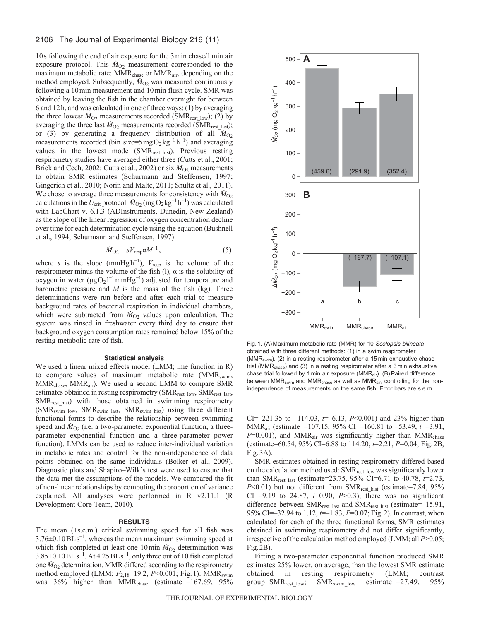## 2106 The Journal of Experimental Biology 216 (11)

10s following the end of air exposure for the 3min chase/1min air exposure protocol. This  $\dot{M}_{O2}$  measurement corresponded to the maximum metabolic rate: MMR<sub>chase</sub> or MMR<sub>air</sub>, depending on the method employed. Subsequently,  $\dot{M}_{O2}$  was measured continuously following a 10min measurement and 10min flush cycle. SMR was obtained by leaving the fish in the chamber overnight for between 6 and 12h, and was calculated in one of three ways: (1) by averaging the three lowest  $\dot{M}_{O2}$  measurements recorded (SMR<sub>rest low</sub>); (2) by averaging the three last  $\dot{M}_{O_2}$  measurements recorded (SMR<sub>rest last</sub>); or (3) by generating a frequency distribution of all  $\dot{M}_{O2}$ measurements recorded (bin size=5 mg $O_2$ kg<sup>-1</sup>h<sup>-1</sup>) and averaging values in the lowest mode (SMR<sub>rest\_hist</sub>). Previous resting respirometry studies have averaged either three (Cutts et al., 2001; Brick and Cech, 2002; Cutts et al., 2002) or six  $\dot{M}_{O2}$  measurements to obtain SMR estimates (Schurmann and Steffensen, 1997; Gingerich et al., 2010; Norin and Malte, 2011; Shultz et al., 2011). We chose to average three measurements for consistency with  $\dot{M}_{O2}$ calculations in the  $U_{\text{crit}}$  protocol.  $\dot{M}_{\text{O}_2}$  (mg  $\text{O}_2 \text{kg}^{-1} \text{h}^{-1}$ ) was calculated with LabChart v. 6.1.3 (ADInstruments, Dunedin, New Zealand) as the slope of the linear regression of oxygen concentration decline over time for each determination cycle using the equation (Bushnell et al., 1994; Schurmann and Steffensen, 1997):

$$
\dot{M}_{\text{O}_2} = sV_{\text{resp}} \alpha M^{-1},\tag{5}
$$

where *s* is the slope (mmHgh<sup>-1</sup>),  $V_{resp}$  is the volume of the respirometer minus the volume of the fish  $(l)$ ,  $\alpha$  is the solubility of oxygen in water ( $\mu$ gO<sub>2</sub>l<sup>-1</sup>mmHg<sup>-1</sup>) adjusted for temperature and barometric pressure and  $M$  is the mass of the fish (kg). Three determinations were run before and after each trial to measure background rates of bacterial respiration in individual chambers, which were subtracted from  $\dot{M}_{O2}$  values upon calculation. The system was rinsed in freshwater every third day to ensure that background oxygen consumption rates remained below 15% of the resting metabolic rate of fish.

## **Statistical analysis**

We used a linear mixed effects model (LMM; lme function in R) to compare values of maximum metabolic rate (MMR<sub>swim</sub>, MMRchase, MMRair). We used a second LMM to compare SMR estimates obtained in resting respirometry (SMR<sub>rest low</sub>, SMR<sub>rest last,</sub> SMR<sub>rest hist</sub>) with those obtained in swimming respirometry (SMRswim\_low, SMRswim\_last, SMRswim\_hist) using three different functional forms to describe the relationship between swimming speed and  $\dot{M}_{O2}$  (i.e. a two-parameter exponential function, a threeparameter exponential function and a three-parameter power function). LMMs can be used to reduce inter-individual variation in metabolic rates and control for the non-independence of data points obtained on the same individuals (Bolker et al., 2009). Diagnostic plots and Shapiro–Wilk's test were used to ensure that the data met the assumptions of the models. We compared the fit of non-linear relationships by computing the proportion of variance explained. All analyses were performed in R v2.11.1 (R Development Core Team, 2010).

## **RESULTS**

The mean  $(\pm$ s.e.m.) critical swimming speed for all fish was 3.76±0.10 BL s<sup>-1</sup>, whereas the mean maximum swimming speed at which fish completed at least one 10min  $\dot{M}_{O_2}$  determination was  $3.85\pm0.10$  BL s<sup>-1</sup>. At  $4.25$  BL s<sup>-1</sup>, only three out of 10 fish completed one  $\dot{M}_{\text{O}2}$  determination. MMR differed according to the respirometry method employed (LMM;  $F_{2,18}$ =19.2, *P*<0.001; Fig.1): MMR<sub>swim</sub> was 36% higher than MMR<sub>chase</sub> (estimate=-167.69, 95%



Fig. 1. (A) Maximum metabolic rate (MMR) for 10 *Scolopsis bilineata* obtained with three different methods: (1) in a swim respirometer (MMRswim), (2) in a resting respirometer after a 15 min exhaustive chase trial (MMR<sub>chase</sub>) and (3) in a resting respirometer after a 3 min exhaustive chase trial followed by 1 min air exposure (MMR<sub>air</sub>). (B) Paired difference between  $MMR<sub>swim</sub>$  and  $MMR<sub>chase</sub>$  as well as  $MMR<sub>air</sub>$ , controlling for the nonindependence of measurements on the same fish. Error bars are s.e.m.

CI= $-221.35$  to  $-114.03$ ,  $t=-6.13$ ,  $P<0.001$ ) and 23% higher than MMRair (estimate=–107.15, 95% CI=–160.81 to –53.49, *t*=–3.91, *P*=0.001), and MMR<sub>air</sub> was significantly higher than MMR<sub>chase</sub> (estimate=60.54, 95% CI=6.88 to 114.20, *t*=2.21, *P*=0.04; Fig.2B, Fig.3A).

SMR estimates obtained in resting respirometry differed based on the calculation method used: SMR<sub>rest low</sub> was significantly lower than SMR<sub>rest last</sub> (estimate=23.75, 95% CI=6.71 to 40.78, *t*=2.73,  $P<0.01$ ) but not different from SMR<sub>rest hist</sub> (estimate=7.84, 95%) CI=–9.19 to 24.87, *t*=0.90, *P*>0.3); there was no significant difference between  $SMR_{rest\text{ last}}$  and  $SMR_{rest\text{ hist}}$  (estimate=–15.91, 95% CI=–32.94 to 1.12, *t*=–1.83, *P*=0.07; Fig.2). In contrast, when calculated for each of the three functional forms, SMR estimates obtained in swimming respirometry did not differ significantly, irrespective of the calculation method employed (LMM; all *P*>0.05; Fig.2B).

Fitting a two-parameter exponential function produced SMR estimates 25% lower, on average, than the lowest SMR estimate obtained in resting respirometry (LMM; contrast group=SMR<sub>rest low</sub>; SMR<sub>swim low</sub> estimate= $-27.49$ , 95%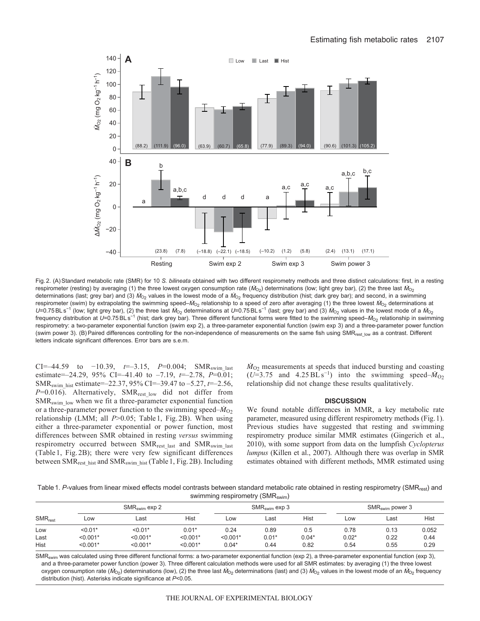

Fig. 2. (A)Standard metabolic rate (SMR) for 10 *S. bilineata* obtained with two different respirometry methods and three distinct calculations: first, in a resting respirometer (resting) by averaging (1) the three lowest oxygen consumption rate ( $M_{\text{O}_2}$ ) determinations (low; light grey bar), (2) the three last  $M_{\text{O}_2}$ determinations (last; grey bar) and (3)  $M_{\odot}$ , values in the lowest mode of a  $M_{\odot}$ , frequency distribution (hist; dark grey bar); and second, in a swimming respirometer (swim) by extrapolating the swimming speed–*M*<sub>O2</sub> relationship to a speed of zero after averaging (1) the three lowest *M*<sub>O2</sub> determinations at *U*=0.75 BL s<sup>-1</sup> (low; light grey bar), (2) the three last *M*<sub>O2</sub> determinations at *U*=0.75 BL s<sup>-1</sup> (last; grey bar) and (3) *M*<sub>O2</sub> values in the lowest mode of a *M*<sub>O2</sub> frequency distribution at U=0.75BL s<sup>-1</sup> (hist; dark grey bar). Three different functional forms were fitted to the swimming speed– $M_{\text{O}}$  relationship in swimming respirometry: a two-parameter exponential function (swim exp 2), a three-parameter exponential function (swim exp 3) and a three-parameter power function (swim power 3). (B) Paired differences controlling for the non-independence of measurements on the same fish using SMR<sub>rest low</sub> as a contrast. Different letters indicate significant differences. Error bars are s.e.m.

CI=–44.59 to  $-10.39$ ,  $t=-3.15$ ,  $P=0.004$ ; SMR<sub>swim\_last</sub> estimate=–24.29, 95% CI=–41.40 to –7.19, *t*=–2.78, *P*=0.01; SMRswim\_hist estimate=–22.37, 95% CI=–39.47 to –5.27, *t*=–2.56,  $P=0.016$ . Alternatively, SMR<sub>rest low</sub> did not differ from SMR<sub>swim low</sub> when we fit a three-parameter exponential function or a three-parameter power function to the swimming speed– $\dot{M}_{O2}$ relationship (LMM; all *P*>0.05; Table1, Fig. 2B). When using either a three-parameter exponential or power function, most differences between SMR obtained in resting *versus* swimming respirometry occurred between SMR<sub>rest last</sub> and SMR<sub>swim last</sub> (Table 1, Fig. 2B); there were very few significant differences between SMR<sub>rest\_hist</sub> and SMR<sub>swim\_hist</sub> (Table 1, Fig. 2B). Including  $\dot{M}_{O_2}$  measurements at speeds that induced bursting and coasting  $(U=3.75$  and  $4.25 \text{ BL s}^{-1}$ ) into the swimming speed– $\dot{M}_{O2}$ relationship did not change these results qualitatively.

#### **DISCUSSION**

We found notable differences in MMR, a key metabolic rate parameter, measured using different respirometry methods (Fig.1). Previous studies have suggested that resting and swimming respirometry produce similar MMR estimates (Gingerich et al., 2010), with some support from data on the lumpfish *Cyclopterus lumpus* (Killen et al., 2007). Although there was overlap in SMR estimates obtained with different methods, MMR estimated using

Table 1. P-values from linear mixed effects model contrasts between standard metabolic rate obtained in resting respirometry (SMR<sub>rest</sub>) and swimming respirometry (SMR<sub>swim</sub>)

| $SMR_{rest}$ | $SMRswim$ exp 2 |            |            | $SMR_{\text{swim}}$ exp 3 |         |         | SMR <sub>swim</sub> power 3 |      |       |
|--------------|-----------------|------------|------------|---------------------------|---------|---------|-----------------------------|------|-------|
|              | Low             | Last       | Hist       | Low                       | ∟ast    | Hist    | Low                         | Last | Hist  |
| Low          | $< 0.01*$       | $< 0.01*$  | $0.01*$    | 0.24                      | 0.89    | 0.5     | 0.78                        | 0.13 | 0.052 |
| Last         | $< 0.001*$      | $< 0.001*$ | $< 0.001*$ | $< 0.001*$                | $0.01*$ | $0.04*$ | $0.02*$                     | 0.22 | 0.44  |
| Hist         | $< 0.001*$      | $< 0.001*$ | $< 0.001*$ | $0.04*$                   | 0.44    | 0.82    | 0.54                        | 0.55 | 0.29  |

SMR<sub>swim</sub> was calculated using three different functional forms: a two-parameter exponential function (exp 2), a three-parameter exponential function (exp 3), and a three-parameter power function (power 3). Three different calculation methods were used for all SMR estimates: by averaging (1) the three lowest oxygen consumption rate ( $M_{\odot}$ ) determinations (low), (2) the three last  $M_{\odot}$  determinations (last) and (3)  $M_{\odot}$  values in the lowest mode of an  $M_{\odot}$  frequency distribution (hist). Asterisks indicate significance at *P*<0.05.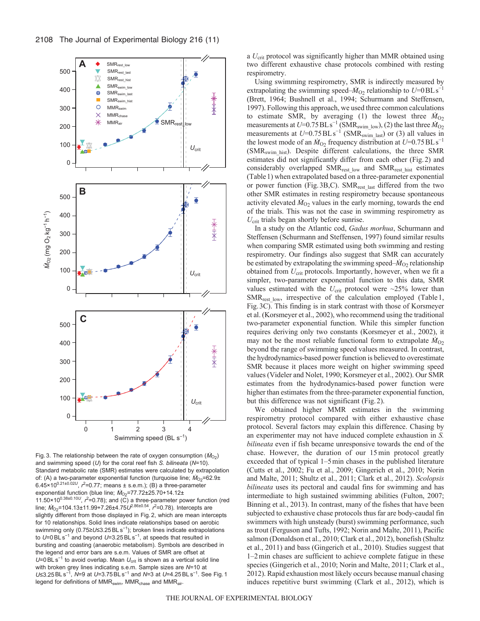

Fig. 3. The relationship between the rate of oxygen consumption  $(M<sub>O2</sub>)$ and swimming speed (*U*) for the coral reef fish *S. bilineata* (*N*=10). Standard metabolic rate (SMR) estimates were calculated by extrapolation of: (A) a two-parameter exponential function (turquoise line;  $\dot{M}_{O2}$ =62.9± 6.45×100.21±0.02*<sup>U</sup>*, *r* 2=0.77; means ± s.e.m.); (B) a three-parameter exponential function (blue line;  $\dot{M}_{O2}$ =77.72±25.70+14.12± 11.50×10<sup>0.38±0.10*U*,  $r^2$ =0.78); and (C) a three-parameter power function (red</sup> line;  $\dot{M}_{\text{O}_2}$ =104.13±11.99+7.26±4.75*U*<sup>2.86±0.54</sup>,  $r$ <sup>2</sup>=0.78). Intercepts are slightly different from those displayed in Fig. 2, which are mean intercepts for 10 relationships. Solid lines indicate relationships based on aerobic swimming only (0.75≥U≤3.25 BL s<sup>-1</sup>); broken lines indicate extrapolations to *U*=0BL s<sup>−</sup><sup>1</sup> and beyond *U*=3.25BL s<sup>−</sup>1, at speeds that resulted in bursting and coasting (anaerobic metabolism). Symbols are described in the legend and error bars are s.e.m. Values of SMR are offset at *U*=0BL s<sup>−1</sup> to avoid overlap. Mean *U*<sub>crit</sub> is shown as a vertical solid line with broken grey lines indicating s.e.m. Sample sizes are *N*=10 at *U*≤3.25BL s<sup>−</sup>1, *N*=9 at *U*=3.75BL s<sup>−</sup><sup>1</sup> and *N*=3 at *U*=4.25BL s<sup>−</sup>1. See Fig. 1 legend for definitions of MMR<sub>swim</sub>, MMR<sub>chase</sub> and MMR<sub>air</sub>.

a *U*crit protocol was significantly higher than MMR obtained using two different exhaustive chase protocols combined with resting respirometry.

Using swimming respirometry, SMR is indirectly measured by extrapolating the swimming speed– $\dot{M}_{O2}$  relationship to  $U=0$  BLs<sup>-1</sup> (Brett, 1964; Bushnell et al., 1994; Schurmann and Steffensen, 1997). Following this approach, we used three common calculations to estimate SMR, by averaging (1) the lowest three  $\dot{M}_{O2}$ measurements at  $U=0.75$  BL s<sup>-1</sup> (SMR<sub>swim\_low</sub>), (2) the last three  $\dot{M}_{O_2}$ measurements at  $U=0.75$  BLs<sup>-1</sup> (SMR<sub>swim last</sub>) or (3) all values in the lowest mode of an  $\dot{M}_{O2}$  frequency distribution at *U*=0.75 BLs<sup>-1</sup> (SMR<sub>swim hist</sub>). Despite different calculations, the three SMR estimates did not significantly differ from each other (Fig.2) and considerably overlapped SMR<sub>rest low</sub> and SMR<sub>rest hist</sub> estimates (Table1) when extrapolated based on a three-parameter exponential or power function (Fig. 3B,C). SMR<sub>rest last</sub> differed from the two other SMR estimates in resting respirometry because spontaneous activity elevated  $\dot{M}_{O_2}$  values in the early morning, towards the end of the trials. This was not the case in swimming respirometry as  $U_{\text{crit}}$  trials began shortly before sunrise.

In a study on the Atlantic cod, *Gadus morhua*, Schurmann and Steffensen (Schurmann and Steffensen, 1997) found similar results when comparing SMR estimated using both swimming and resting respirometry. Our findings also suggest that SMR can accurately be estimated by extrapolating the swimming speed– $\dot{M}_{O2}$  relationship obtained from  $U_{\text{crit}}$  protocols. Importantly, however, when we fit a simpler, two-parameter exponential function to this data, SMR values estimated with the  $U_{\text{crit}}$  protocol were  $\sim$ 25% lower than  $SMR_{rest, low}$ , irrespective of the calculation employed (Table 1, Fig.3C). This finding is in stark contrast with those of Korsmeyer et al. (Korsmeyer et al., 2002), who recommend using the traditional two-parameter exponential function. While this simpler function requires deriving only two constants (Korsmeyer et al., 2002), it may not be the most reliable functional form to extrapolate  $\dot{M}_{\text{O}2}$ beyond the range of swimming speed values measured. In contrast, the hydrodynamics-based power function is believed to overestimate SMR because it places more weight on higher swimming speed values (Videler and Nolet, 1990; Korsmeyer et al., 2002). Our SMR estimates from the hydrodynamics-based power function were higher than estimates from the three-parameter exponential function, but this difference was not significant (Fig.2).

We obtained higher MMR estimates in the swimming respirometry protocol compared with either exhaustive chase protocol. Several factors may explain this difference. Chasing by an experimenter may not have induced complete exhaustion in *S. bilineata* even if fish became unresponsive towards the end of the chase. However, the duration of our 15min protocol greatly exceeded that of typical 1–5min chases in the published literature (Cutts et al., 2002; Fu et al., 2009; Gingerich et al., 2010; Norin and Malte, 2011; Shultz et al., 2011; Clark et al., 2012). *Scolopsis bilineata* uses its pectoral and caudal fins for swimming and has intermediate to high sustained swimming abilities (Fulton, 2007; Binning et al., 2013). In contrast, many of the fishes that have been subjected to exhaustive chase protocols thus far are body-caudal fin swimmers with high unsteady (burst) swimming performance, such as trout (Ferguson and Tufts, 1992; Norin and Malte, 2011), Pacific salmon (Donaldson et al., 2010; Clark et al., 2012), bonefish (Shultz et al., 2011) and bass (Gingerich et al., 2010). Studies suggest that 1–2min chases are sufficient to achieve complete fatigue in these species (Gingerich et al., 2010; Norin and Malte, 2011; Clark et al., 2012). Rapid exhaustion most likely occurs because manual chasing induces repetitive burst swimming (Clark et al., 2012), which is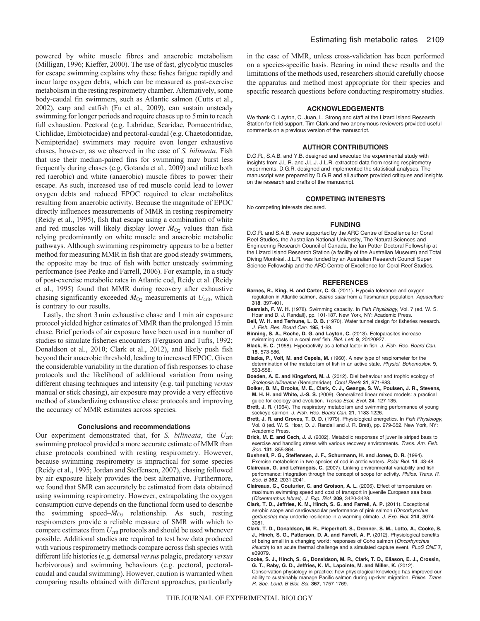powered by white muscle fibres and anaerobic metabolism (Milligan, 1996; Kieffer, 2000). The use of fast, glycolytic muscles for escape swimming explains why these fishes fatigue rapidly and incur large oxygen debts, which can be measured as post-exercise metabolism in the resting respirometry chamber. Alternatively, some body-caudal fin swimmers, such as Atlantic salmon (Cutts et al., 2002), carp and catfish (Fu et al., 2009), can sustain unsteady swimming for longer periods and require chases up to 5min to reach full exhaustion. Pectoral (e.g. Labridae, Scaridae, Pomacentridae, Cichlidae, Embiotocidae) and pectoral-caudal (e.g. Chaetodontidae, Nemipteridae) swimmers may require even longer exhaustive chases, however, as we observed in the case of *S. bilineata*. Fish that use their median-paired fins for swimming may burst less frequently during chases (e.g. Gotanda et al., 2009) and utilize both red (aerobic) and white (anaerobic) muscle fibres to power their escape. As such, increased use of red muscle could lead to lower oxygen debts and reduced EPOC required to clear metabolites resulting from anaerobic activity. Because the magnitude of EPOC directly influences measurements of MMR in resting respirometry (Reidy et al., 1995), fish that escape using a combination of white and red muscles will likely display lower  $\dot{M}_{O2}$  values than fish relying predominantly on white muscle and anaerobic metabolic pathways. Although swimming respirometry appears to be a better method for measuring MMR in fish that are good steady swimmers, the opposite may be true of fish with better unsteady swimming performance (see Peake and Farrell, 2006). For example, in a study of post-exercise metabolic rates in Atlantic cod, Reidy et al. (Reidy et al., 1995) found that MMR during recovery after exhaustive chasing significantly exceeded  $\dot{M}_{O2}$  measurements at  $U_{\text{crit}}$ , which is contrary to our results.

Lastly, the short 3min exhaustive chase and 1min air exposure protocol yielded higher estimates of MMR than the prolonged 15min chase. Brief periods of air exposure have been used in a number of studies to simulate fisheries encounters (Ferguson and Tufts, 1992; Donaldson et al., 2010; Clark et al., 2012), and likely push fish beyond their anaerobic threshold, leading to increased EPOC. Given the considerable variability in the duration of fish responses to chase protocols and the likelihood of additional variation from using different chasing techniques and intensity (e.g. tail pinching *versus* manual or stick chasing), air exposure may provide a very effective method of standardizing exhaustive chase protocols and improving the accuracy of MMR estimates across species.

## **Conclusions and recommendations**

Our experiment demonstrated that, for *S. bilineata*, the  $U_{\text{crit}}$ swimming protocol provided a more accurate estimate of MMR than chase protocols combined with resting respirometry. However, because swimming respirometry is impractical for some species (Reidy et al., 1995; Jordan and Steffensen, 2007), chasing followed by air exposure likely provides the best alternative. Furthermore, we found that SMR can accurately be estimated from data obtained using swimming respirometry. However, extrapolating the oxygen consumption curve depends on the functional form used to describe the swimming speed– $\dot{M}_{O_2}$  relationship. As such, resting respirometers provide a reliable measure of SMR with which to compare estimates from  $U_{\text{crit}}$  protocols and should be used whenever possible. Additional studies are required to test how data produced with various respirometry methods compare across fish species with different life histories (e.g. demersal *versus* pelagic, predatory *versus* herbivorous) and swimming behaviours (e.g. pectoral, pectoralcaudal and caudal swimming). However, caution is warranted when comparing results obtained with different approaches, particularly in the case of MMR, unless cross-validation has been performed on a species-specific basis. Bearing in mind these results and the limitations of the methods used, researchers should carefully choose the apparatus and method most appropriate for their species and specific research questions before conducting respirometry studies.

#### **ACKNOWLEDGEMENTS**

We thank C. Layton, C. Juan, L. Strong and staff at the Lizard Island Research Station for field support. Tim Clark and two anonymous reviewers provided useful comments on a previous version of the manuscript.

#### **AUTHOR CONTRIBUTIONS**

D.G.R., S.A.B. and Y.B. designed and executed the experimental study with insights from J.L.R. and J.L.J. J.L.R. extracted data from resting respirometry experiments. D.G.R. designed and implemented the statistical analyses. The manuscript was prepared by D.G.R and all authors provided critiques and insights on the research and drafts of the manuscript.

#### **COMPETING INTERESTS**

No competing interests declared.

#### **FUNDING**

D.G.R. and S.A.B. were supported by the ARC Centre of Excellence for Coral Reef Studies, the Australian National University, The Natural Sciences and Engineering Research Council of Canada, the Ian Potter Doctoral Fellowship at the Lizard Island Research Station (a facility of the Australian Museum) and Total Diving Montréal. J.L.R. was funded by an Australian Research Council Super Science Fellowship and the ARC Centre of Excellence for Coral Reef Studies.

#### **REFERENCES**

- **Barnes, R., King, H. and Carter, C. G.** (2011). Hypoxia tolerance and oxygen regulation in Atlantic salmon, *Salmo salar* from a Tasmanian population. *Aquaculture* **318**, 397-401.
- **Beamish, F. W. H.** (1978). Swimming capacity. In *Fish Physiology*, Vol. 7 (ed. W. S. Hoar and D. J. Randall), pp. 101-187. New York, NY: Academic Press.
- **Bell, W. H. and Terhune, L. D. B.** (1970). Water tunnel design for fisheries research. *J. Fish. Res. Board Can.* **195**, 1-69.
- **Binning, S. A., Roche, D. G. and Layton, C.** (2013). Ectoparasites increase swimming costs in a coral reef fish. *Biol. Lett.* **9**, 20120927.
- **Black, E. C.** (1958). Hyperactivity as a lethal factor in fish. *J. Fish. Res. Board Can.* **15**, 573-586.
- **Blazka, P., Volf, M. and Cepela, M.** (1960). A new type of respirometer for the determination of the metabolism of fish in an active state. *Physiol. Bohemoslov.* **9**, 553-558.
- **Boaden, A. E. and Kingsford, M. J.** (2012). Diel behaviour and trophic ecology of *Scolopsis bilineatus* (Nemipteridae). *Coral Reefs* **31**, 871-883.
- **Bolker, B. M., Brooks, M. E., Clark, C. J., Geange, S. W., Poulsen, J. R., Stevens, M. H. H. and White, J.-S. S.** (2009). Generalized linear mixed models: a practical guide for ecology and evolution. *Trends Ecol. Evol.* **24**, 127-135.
- **Brett, J. R.** (1964). The respiratory metabolism and swimming performance of young sockeye salmon. *J. Fish. Res. Board Can.* **21**, 1183-1226.
- **Brett, J. R. and Groves, T. D. D.** (1979). Physiological energetics. In *Fish Physiology*, Vol. 8 (ed. W. S. Hoar, D. J. Randall and J. R. Brett), pp. 279-352. New York, NY: Academic Press.
- **Brick, M. E. and Cech, J. J.** (2002). Metabolic responses of juvenile striped bass to exercise and handling stress with various recovery environments. *Trans. Am. Fish. Soc.* **131**, 855-864.
- **Bushnell, P. G., Steffensen, J. F., Schurmann, H. and Jones, D. R.** (1994). Exercise metabolism in two species of cod in arctic waters. *Polar Biol.* **14**, 43-48.
- **Claireaux, G. and Lefrançois, C.** (2007). Linking environmental variability and fish performance: integration through the concept of scope for activity. *Philos. Trans. R. Soc. B* **362**, 2031-2041.
- **Claireaux, G., Couturier, C. and Groison, A. L.** (2006). Effect of temperature on maximum swimming speed and cost of transport in juvenile European sea bass (*Dicentrarchus labrax*). *J. Exp. Biol.* **209**, 3420-3428.
- **Clark, T. D., Jeffries, K. M., Hinch, S. G. and Farrell, A. P.** (2011). Exceptional aerobic scope and cardiovascular performance of pink salmon (*Oncorhynchus gorbuscha*) may underlie resilience in a warming climate. *J. Exp. Biol.* **214**, 3074- 3081.
- **Clark, T. D., Donaldson, M. R., Pieperhoff, S., Drenner, S. M., Lotto, A., Cooke, S. J., Hinch, S. G., Patterson, D. A. and Farrell, A. P.** (2012). Physiological benefits of being small in a changing world: responses of Coho salmon (*Oncorhynchus kisutch*) to an acute thermal challenge and a simulated capture event. *PLoS ONE* **7**, e39079.
- **Cooke, S. J., Hinch, S. G., Donaldson, M. R., Clark, T. D., Eliason, E. J., Crossin, G. T., Raby, G. D., Jeffries, K. M., Lapointe, M. and Miller, K.** (2012). Conservation physiology in practice: how physiological knowledge has improved our ability to sustainably manage Pacific salmon during up-river migration. *Philos. Trans. R. Soc. Lond. B Biol. Sci.* **367**, 1757-1769.